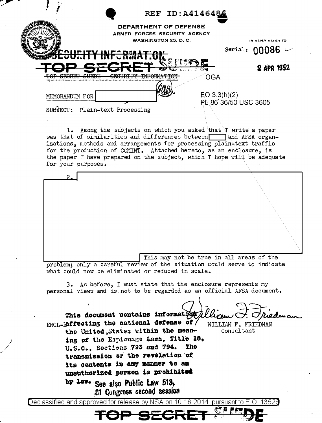|                           |                                                                         | REF ID: A4146486                                                                     |                                             |
|---------------------------|-------------------------------------------------------------------------|--------------------------------------------------------------------------------------|---------------------------------------------|
|                           |                                                                         | DEPARTMENT OF DEFENSE<br>ARMED FORCES SECURITY AGENCY<br><b>WASHINGTON 25, D. C.</b> |                                             |
|                           | E <del>surity Informat.on</del>                                         |                                                                                      | IN REPLY REFER TO<br>Serial: $00086$ $\sim$ |
| היוממים ממח               | en eller general beste b<br>crottormy<br>eurno<br><del>obvolu r</del> i | والمساويا المعتقلة                                                                   | <b>2 APR 1952</b><br>OGA                    |
| MEMORANDUM FOR<br>SUBTCT: | Plain-text Processing                                                   |                                                                                      | EO 3.3(h)(2)<br>PL 86-36/50 USC 3605        |

1. Among the subjects on which you asked that I write a paper was that of similarities and differences between and AFSA organizations, methods and arrangements for processing plain-text traffic for the production of COMINT. Attached hereto, as an enclosure, is the paper I have prepared on the subject, which I hope will be adequate for your purposes.

This may not be true in all areas of the

problem; only a careful review of the situation could serve to indicate what could now be eliminated or reduced in scale.

3. As before, I must state that the enclosure represents my personal views and is not to be regarded as an official AFSA document.

This document contains information WILLIAM F. FRIEDMAN

Consultant

ENCL-Raffecting the national defense of the United States within the meaning of the Espienage Laws, Title 18, U.S.C., Sections 793 and 794. The transmission or the revelation of its contents in any manner to an unsuthorized person is prohibited by law- See also Public Law 513,

21 Congress second session

Declassified and approved for release by NS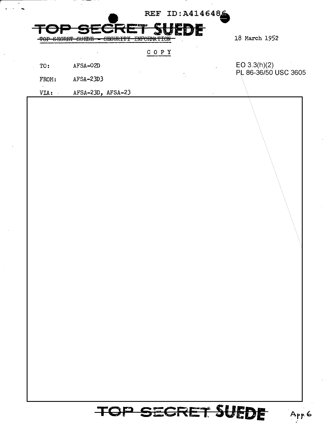|                                                                                                        | REF ID: A4146486                                                                            |               |
|--------------------------------------------------------------------------------------------------------|---------------------------------------------------------------------------------------------|---------------|
| <b>HARRY BEEN BEEN ROOM</b><br><b>SECRET</b><br>CEOIDIDE T<br>$\alpha$<br><del>URJUNITI</del><br>vomon | <b>COME ENERGY BOOK SHOW</b><br><b>SOEDE</b><br><b>TITLODMARTON</b><br><b>LNI OITH LIUN</b> | 18 March 1952 |
|                                                                                                        |                                                                                             |               |

| TO:   | AFSA-02D    |  | EO $3.3(h)(2)$       |
|-------|-------------|--|----------------------|
|       |             |  | PL 86-36/50 USC 3605 |
| FROM: | $AFSA-23D3$ |  |                      |

VIA:  $AFSA-23D$ ,  $AFSA-23$ 

TOP SECRET SUEDE

App 6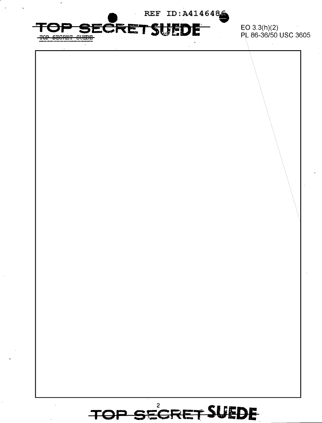

 $EO 3.3(h)(2)$ PL 86-36/50 USC 3605

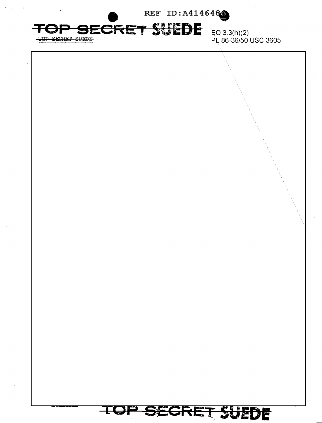REF ID: A414648

## **SECRET SUEDE**

TOP SECRET SUEDE

 $\mathcal{L}^{\text{max}}$ 

EO  $3.3(h)(2)$ PL 86-36/50 USC 3605

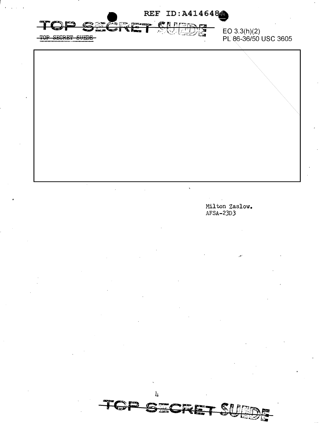

3.

Milton Zaslow.  $AFSA-23D3$ 

SUEDE